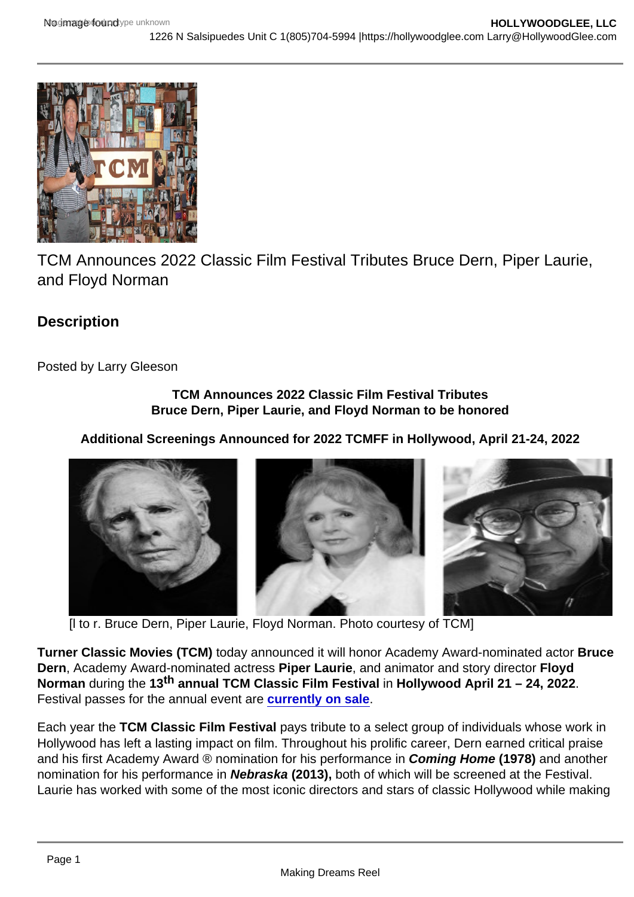TCM Announces 2022 Classic Film Festival Tributes Bruce Dern, Piper Laurie, and Floyd Norman

**Description** 

Posted by Larry Gleeson

TCM Announces 2022 Classic Film Festival Tributes Bruce Dern, Piper Laurie, and Floyd Norman to be honored

Additional Screenings Announced for 2022 TCMFF in Hollywood, April 21-24, 2022

[l to r. Bruce Dern, Piper Laurie, Floyd Norman. Photo courtesy of TCM]

Turner Classic Movies (TCM) today announced it will honor Academy Award-nominated actor Bruce Dern, Academy Award-nominated actress Piper Laurie , and animator and story director Floyd Norman during the 13<sup>th</sup> annual TCM Classic Film Festival in Hollywood April 21 – 24, 2022. Festival passes for the annual event are [currently on sale](https://tcm.us16.list-manage.com/track/click?u=cfb223e265ad332b422ebe4a2&id=835a326a98&e=5c049257b7).

Each year the TCM Classic Film Festival pays tribute to a select group of individuals whose work in Hollywood has left a lasting impact on film. Throughout his prolific career, Dern earned critical praise and his first Academy Award ® nomination for his performance in Coming Home (1978) and another nomination for his performance in Nebraska (2013), both of which will be screened at the Festival. Laurie has worked with some of the most iconic directors and stars of classic Hollywood while making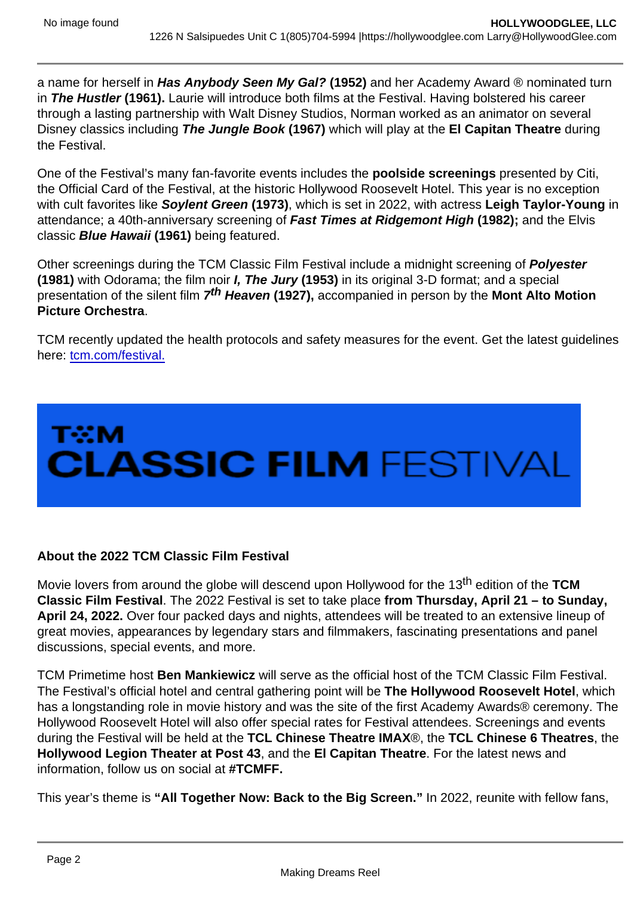a name for herself in Has Anybody Seen My Gal? (1952) and her Academy Award ® nominated turn in The Hustler (1961). Laurie will introduce both films at the Festival. Having bolstered his career through a lasting partnership with Walt Disney Studios, Norman worked as an animator on several Disney classics including The Jungle Book (1967) which will play at the El Capitan Theatre during the Festival.

One of the Festival's many fan-favorite events includes the poolside screenings presented by Citi, the Official Card of the Festival, at the historic Hollywood Roosevelt Hotel. This year is no exception with cult favorites like Soylent Green (1973), which is set in 2022, with actress Leigh Taylor-Young in attendance; a 40th-anniversary screening of Fast Times at Ridgemont High (1982); and the Elvis classic Blue Hawaii (1961) being featured.

Other screenings during the TCM Classic Film Festival include a midnight screening of Polyester (1981) with Odorama; the film noir I, The Jury (1953) in its original 3-D format; and a special presentation of the silent film 7<sup>th</sup> Heaven (1927), accompanied in person by the Mont Alto Motion Picture Orchestra .

TCM recently updated the health protocols and safety measures for the event. Get the latest guidelines here: [tcm.com/festival.](https://tcm.us16.list-manage.com/track/click?u=cfb223e265ad332b422ebe4a2&id=408eed5465&e=5c049257b7)

About the 2022 TCM Classic Film Festival

Movie lovers from around the globe will descend upon Hollywood for the 13<sup>th</sup> edition of the TCM Classic Film Festival . The 2022 Festival is set to take place from Thursday, April 21 – to Sunday, April 24, 2022. Over four packed days and nights, attendees will be treated to an extensive lineup of great movies, appearances by legendary stars and filmmakers, fascinating presentations and panel discussions, special events, and more.

TCM Primetime host Ben Mankiewicz will serve as the official host of the TCM Classic Film Festival. The Festival's official hotel and central gathering point will be The Hollywood Roosevelt Hotel , which has a longstanding role in movie history and was the site of the first Academy Awards® ceremony. The Hollywood Roosevelt Hotel will also offer special rates for Festival attendees. Screenings and events during the Festival will be held at the TCL Chinese Theatre IMAX ®, the TCL Chinese 6 Theatres , the Hollywood Legion Theater at Post 43 , and the El Capitan Theatre . For the latest news and information, follow us on social at #TCMFF.

This year's theme is "All Together Now: Back to the Big Screen." In 2022, reunite with fellow fans,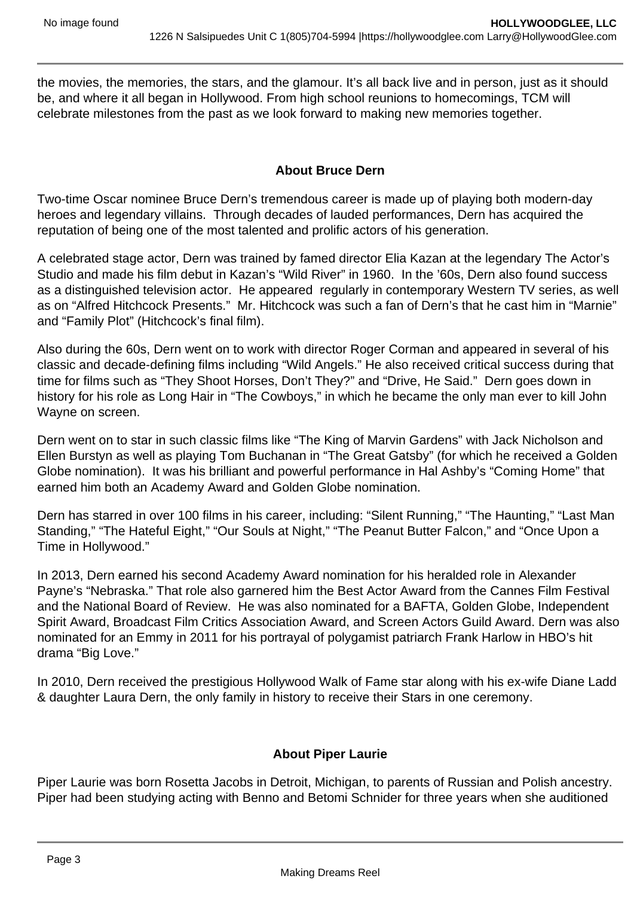the movies, the memories, the stars, and the glamour. It's all back live and in person, just as it should be, and where it all began in Hollywood. From high school reunions to homecomings, TCM will celebrate milestones from the past as we look forward to making new memories together.

## **About Bruce Dern**

Two-time Oscar nominee Bruce Dern's tremendous career is made up of playing both modern-day heroes and legendary villains. Through decades of lauded performances, Dern has acquired the reputation of being one of the most talented and prolific actors of his generation.

A celebrated stage actor, Dern was trained by famed director Elia Kazan at the legendary The Actor's Studio and made his film debut in Kazan's "Wild River" in 1960. In the '60s, Dern also found success as a distinguished television actor. He appeared regularly in contemporary Western TV series, as well as on "Alfred Hitchcock Presents." Mr. Hitchcock was such a fan of Dern's that he cast him in "Marnie" and "Family Plot" (Hitchcock's final film).

Also during the 60s, Dern went on to work with director Roger Corman and appeared in several of his classic and decade-defining films including "Wild Angels." He also received critical success during that time for films such as "They Shoot Horses, Don't They?" and "Drive, He Said." Dern goes down in history for his role as Long Hair in "The Cowboys," in which he became the only man ever to kill John Wayne on screen.

Dern went on to star in such classic films like "The King of Marvin Gardens" with Jack Nicholson and Ellen Burstyn as well as playing Tom Buchanan in "The Great Gatsby" (for which he received a Golden Globe nomination). It was his brilliant and powerful performance in Hal Ashby's "Coming Home" that earned him both an Academy Award and Golden Globe nomination.

Dern has starred in over 100 films in his career, including: "Silent Running," "The Haunting," "Last Man Standing," "The Hateful Eight," "Our Souls at Night," "The Peanut Butter Falcon," and "Once Upon a Time in Hollywood."

In 2013, Dern earned his second Academy Award nomination for his heralded role in Alexander Payne's "Nebraska." That role also garnered him the Best Actor Award from the Cannes Film Festival and the National Board of Review. He was also nominated for a BAFTA, Golden Globe, Independent Spirit Award, Broadcast Film Critics Association Award, and Screen Actors Guild Award. Dern was also nominated for an Emmy in 2011 for his portrayal of polygamist patriarch Frank Harlow in HBO's hit drama "Big Love."

In 2010, Dern received the prestigious Hollywood Walk of Fame star along with his ex-wife Diane Ladd & daughter Laura Dern, the only family in history to receive their Stars in one ceremony.

## **About Piper Laurie**

Piper Laurie was born Rosetta Jacobs in Detroit, Michigan, to parents of Russian and Polish ancestry. Piper had been studying acting with Benno and Betomi Schnider for three years when she auditioned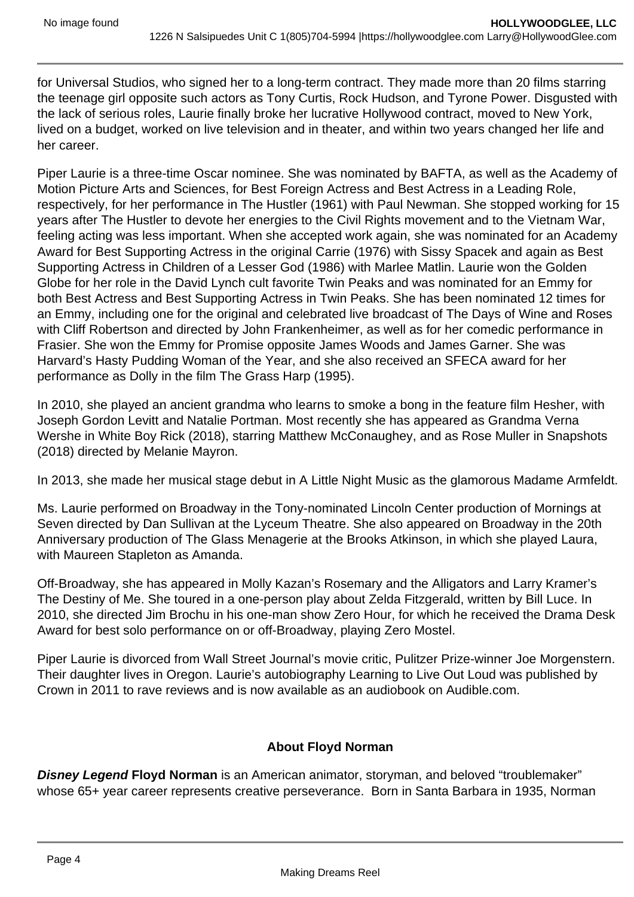for Universal Studios, who signed her to a long-term contract. They made more than 20 films starring the teenage girl opposite such actors as Tony Curtis, Rock Hudson, and Tyrone Power. Disgusted with the lack of serious roles, Laurie finally broke her lucrative Hollywood contract, moved to New York, lived on a budget, worked on live television and in theater, and within two years changed her life and her career.

Piper Laurie is a three-time Oscar nominee. She was nominated by BAFTA, as well as the Academy of Motion Picture Arts and Sciences, for Best Foreign Actress and Best Actress in a Leading Role, respectively, for her performance in The Hustler (1961) with Paul Newman. She stopped working for 15 years after The Hustler to devote her energies to the Civil Rights movement and to the Vietnam War, feeling acting was less important. When she accepted work again, she was nominated for an Academy Award for Best Supporting Actress in the original Carrie (1976) with Sissy Spacek and again as Best Supporting Actress in Children of a Lesser God (1986) with Marlee Matlin. Laurie won the Golden Globe for her role in the David Lynch cult favorite Twin Peaks and was nominated for an Emmy for both Best Actress and Best Supporting Actress in Twin Peaks. She has been nominated 12 times for an Emmy, including one for the original and celebrated live broadcast of The Days of Wine and Roses with Cliff Robertson and directed by John Frankenheimer, as well as for her comedic performance in Frasier. She won the Emmy for Promise opposite James Woods and James Garner. She was Harvard's Hasty Pudding Woman of the Year, and she also received an SFECA award for her performance as Dolly in the film The Grass Harp (1995).

In 2010, she played an ancient grandma who learns to smoke a bong in the feature film Hesher, with Joseph Gordon Levitt and Natalie Portman. Most recently she has appeared as Grandma Verna Wershe in White Boy Rick (2018), starring Matthew McConaughey, and as Rose Muller in Snapshots (2018) directed by Melanie Mayron.

In 2013, she made her musical stage debut in A Little Night Music as the glamorous Madame Armfeldt.

Ms. Laurie performed on Broadway in the Tony-nominated Lincoln Center production of Mornings at Seven directed by Dan Sullivan at the Lyceum Theatre. She also appeared on Broadway in the 20th Anniversary production of The Glass Menagerie at the Brooks Atkinson, in which she played Laura, with Maureen Stapleton as Amanda.

Off-Broadway, she has appeared in Molly Kazan's Rosemary and the Alligators and Larry Kramer's The Destiny of Me. She toured in a one-person play about Zelda Fitzgerald, written by Bill Luce. In 2010, she directed Jim Brochu in his one-man show Zero Hour, for which he received the Drama Desk Award for best solo performance on or off-Broadway, playing Zero Mostel.

Piper Laurie is divorced from Wall Street Journal's movie critic, Pulitzer Prize-winner Joe Morgenstern. Their daughter lives in Oregon. Laurie's autobiography Learning to Live Out Loud was published by Crown in 2011 to rave reviews and is now available as an audiobook on Audible.com.

## **About Floyd Norman**

**Disney Legend Floyd Norman** is an American animator, storyman, and beloved "troublemaker" whose 65+ year career represents creative perseverance. Born in Santa Barbara in 1935, Norman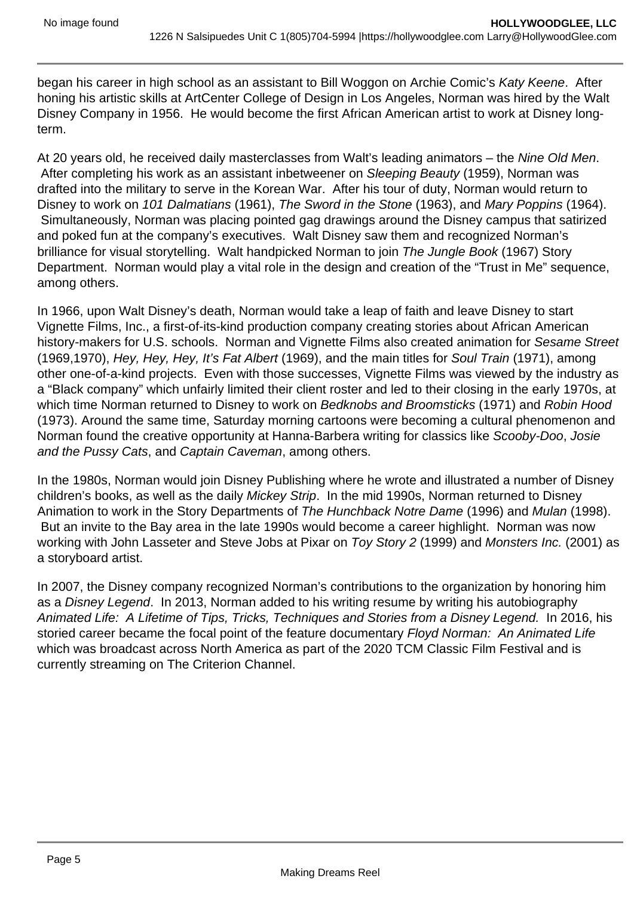began his career in high school as an assistant to Bill Woggon on Archie Comic's Katy Keene. After honing his artistic skills at ArtCenter College of Design in Los Angeles, Norman was hired by the Walt Disney Company in 1956. He would become the first African American artist to work at Disney longterm.

At 20 years old, he received daily masterclasses from Walt's leading animators – the Nine Old Men. After completing his work as an assistant inbetweener on Sleeping Beauty (1959), Norman was drafted into the military to serve in the Korean War. After his tour of duty, Norman would return to Disney to work on 101 Dalmatians (1961), The Sword in the Stone (1963), and Mary Poppins (1964). Simultaneously, Norman was placing pointed gag drawings around the Disney campus that satirized and poked fun at the company's executives. Walt Disney saw them and recognized Norman's brilliance for visual storytelling. Walt handpicked Norman to join The Jungle Book (1967) Story Department. Norman would play a vital role in the design and creation of the "Trust in Me" sequence, among others.

In 1966, upon Walt Disney's death, Norman would take a leap of faith and leave Disney to start Vignette Films, Inc., a first-of-its-kind production company creating stories about African American history-makers for U.S. schools. Norman and Vignette Films also created animation for Sesame Street (1969,1970), Hey, Hey, Hey, It's Fat Albert (1969), and the main titles for Soul Train (1971), among other one-of-a-kind projects. Even with those successes, Vignette Films was viewed by the industry as a "Black company" which unfairly limited their client roster and led to their closing in the early 1970s, at which time Norman returned to Disney to work on Bedknobs and Broomsticks (1971) and Robin Hood (1973). Around the same time, Saturday morning cartoons were becoming a cultural phenomenon and Norman found the creative opportunity at Hanna-Barbera writing for classics like Scooby-Doo, Josie and the Pussy Cats, and Captain Caveman, among others.

In the 1980s, Norman would join Disney Publishing where he wrote and illustrated a number of Disney children's books, as well as the daily Mickey Strip. In the mid 1990s, Norman returned to Disney Animation to work in the Story Departments of The Hunchback Notre Dame (1996) and Mulan (1998). But an invite to the Bay area in the late 1990s would become a career highlight. Norman was now working with John Lasseter and Steve Jobs at Pixar on Toy Story 2 (1999) and Monsters Inc. (2001) as a storyboard artist.

In 2007, the Disney company recognized Norman's contributions to the organization by honoring him as a Disney Legend. In 2013, Norman added to his writing resume by writing his autobiography Animated Life: A Lifetime of Tips, Tricks, Techniques and Stories from a Disney Legend. In 2016, his storied career became the focal point of the feature documentary Floyd Norman: An Animated Life which was broadcast across North America as part of the 2020 TCM Classic Film Festival and is currently streaming on The Criterion Channel.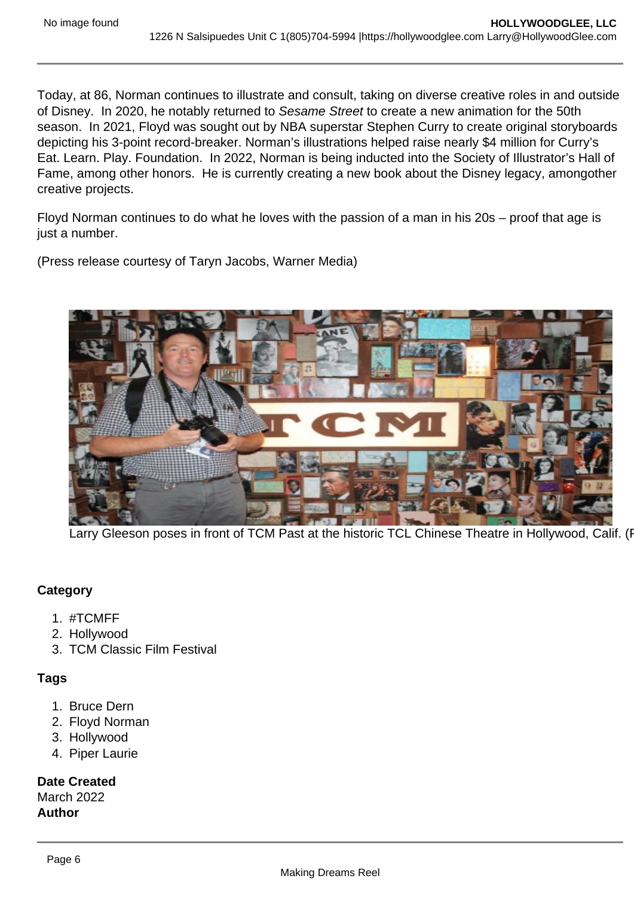Today, at 86, Norman continues to illustrate and consult, taking on diverse creative roles in and outside of Disney. In 2020, he notably returned to Sesame Street to create a new animation for the 50th season. In 2021, Floyd was sought out by NBA superstar Stephen Curry to create original storyboards depicting his 3-point record-breaker. Norman's illustrations helped raise nearly \$4 million for Curry's Eat. Learn. Play. Foundation. In 2022, Norman is being inducted into the Society of Illustrator's Hall of Fame, among other honors. He is currently creating a new book about the Disney legacy, amongother creative projects.

Floyd Norman continues to do what he loves with the passion of a man in his 20s – proof that age is just a number.

(Press release courtesy of Taryn Jacobs, Warner Media)

Larry Gleeson poses in front of TCM Past at the historic TCL Chinese Theatre in Hollywood, Calif. (F

**Category** 

- 1. #TCMFF
- 2. Hollywood
- 3. TCM Classic Film Festival

Tags

- 1. Bruce Dern
- 2. Floyd Norman
- 3. Hollywood
- 4. Piper Laurie

Date Created March 2022 Author